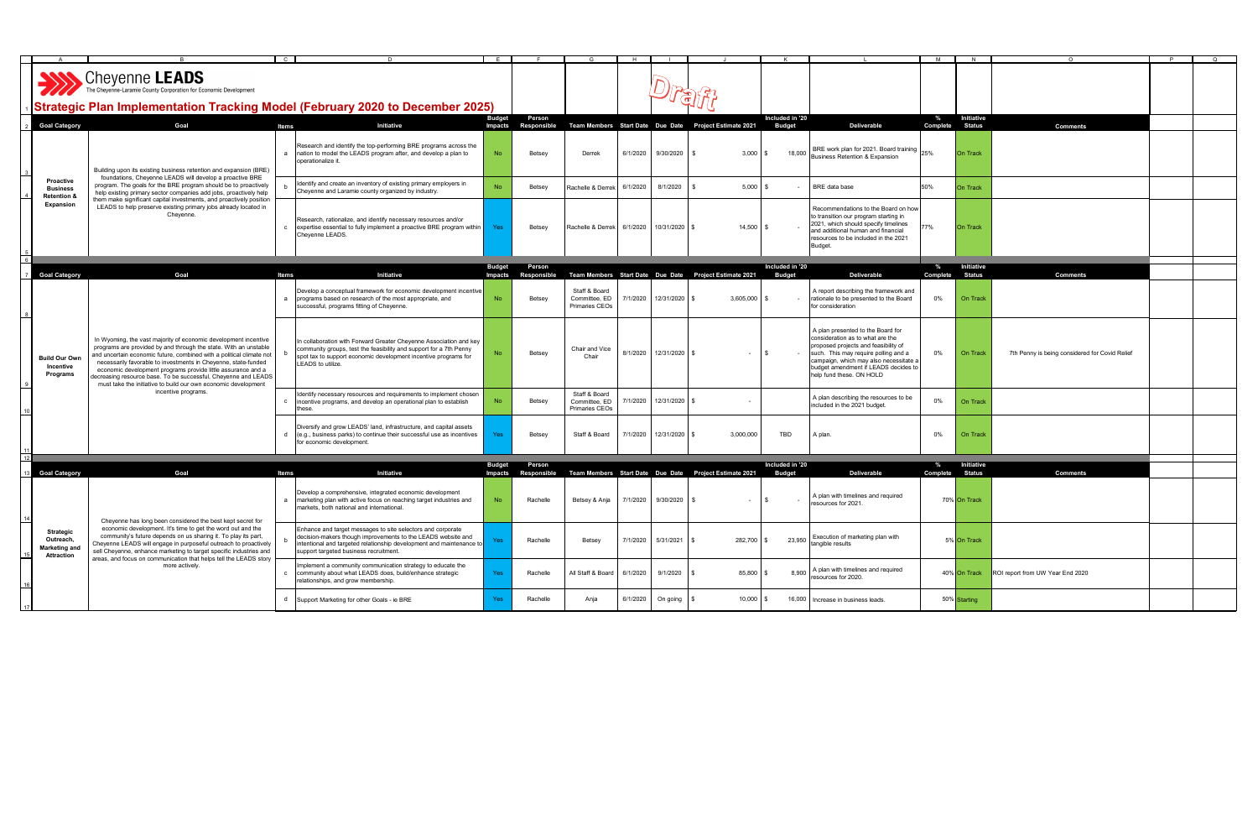|    |                                                                     |                                                                                                                                                                                                                                                                                                                                                                                                                                                                                  |                                                                                                                                                                                                                                               |               |                     |                                                  |          |                        |                                                        |                 |                                                                                                                                                                                                                                                                     | M        |                        |                                                |  |
|----|---------------------------------------------------------------------|----------------------------------------------------------------------------------------------------------------------------------------------------------------------------------------------------------------------------------------------------------------------------------------------------------------------------------------------------------------------------------------------------------------------------------------------------------------------------------|-----------------------------------------------------------------------------------------------------------------------------------------------------------------------------------------------------------------------------------------------|---------------|---------------------|--------------------------------------------------|----------|------------------------|--------------------------------------------------------|-----------------|---------------------------------------------------------------------------------------------------------------------------------------------------------------------------------------------------------------------------------------------------------------------|----------|------------------------|------------------------------------------------|--|
|    |                                                                     | <b>SALL SERVIERS</b> The Cheyenne-Laramie County Corporation for Economic Development<br>√Strategic Plan Implementation Tracking Model (February 2020 to December 2025)                                                                                                                                                                                                                                                                                                          |                                                                                                                                                                                                                                               |               |                     |                                                  |          |                        |                                                        |                 |                                                                                                                                                                                                                                                                     |          |                        |                                                |  |
|    |                                                                     |                                                                                                                                                                                                                                                                                                                                                                                                                                                                                  |                                                                                                                                                                                                                                               | <b>Budget</b> | Person              |                                                  |          |                        |                                                        | Included in '20 |                                                                                                                                                                                                                                                                     | $\%$     | Initiative             |                                                |  |
|    | <b>Goal Category</b>                                                | Goal                                                                                                                                                                                                                                                                                                                                                                                                                                                                             | Initiative<br>Items                                                                                                                                                                                                                           |               | Impacts Responsible |                                                  |          |                        | Team Members Start Date Due Date Project Estimate 2021 | <b>Budget</b>   | Deliverable                                                                                                                                                                                                                                                         |          | <b>Complete</b> Status | <b>Comments</b>                                |  |
|    |                                                                     | Building upon its existing business retention and expansion (BRE)                                                                                                                                                                                                                                                                                                                                                                                                                | Research and identify the top-performing BRE programs across the<br>a nation to model the LEADS program after, and develop a plan to<br>operationalize it.                                                                                    | No            | Betsey              | Derrek                                           | 6/1/2020 | 9/30/2020              | 3.000                                                  | 18,000          | BRE work plan for 2021. Board training 25%<br>Business Retention & Expansion                                                                                                                                                                                        |          | <b>On Track</b>        |                                                |  |
|    | Proactive<br><b>Business</b><br><b>Retention &amp;</b>              | foundations, Cheyenne LEADS will develop a proactive BRE<br>program. The goals for the BRE program should be to proactively<br>help existing primary sector companies add jobs, proactively help                                                                                                                                                                                                                                                                                 | Identify and create an inventory of existing primary employers in<br>Cheyenne and Laramie county organized by industry.                                                                                                                       | <b>No</b>     | Betsey              | Rachelle & Derrek                                | 6/1/2020 | 8/1/2020               | $5,000$ \$                                             | $\sim$          | BRE data base                                                                                                                                                                                                                                                       | 50%      | <b>On Track</b>        |                                                |  |
|    | Expansion                                                           | them make significant capital investments, and proactively position<br>LEADS to help preserve existing primary jobs already located in<br>Cheyenne.                                                                                                                                                                                                                                                                                                                              | Research, rationalize, and identify necessary resources and/or<br>c expertise essential to fully implement a proactive BRE program within<br>Cheyenne LEADS.                                                                                  | Yes           | Betsey              | Rachelle & Derrek                                | 6/1/2020 | 10/31/2020             | 14,500 \$                                              |                 | Recommendations to the Board on how<br>to transition our program starting in<br>2021, which should specify timelines<br>and additional human and financial<br>resources to be included in the 2021<br>Budget.                                                       | 77%      | <b>On Track</b>        |                                                |  |
| 6  |                                                                     |                                                                                                                                                                                                                                                                                                                                                                                                                                                                                  |                                                                                                                                                                                                                                               | <b>Budget</b> | Person              |                                                  |          |                        |                                                        | Included in '20 |                                                                                                                                                                                                                                                                     | $\%$     | Initiative             |                                                |  |
|    | <b>Goal Category</b>                                                | Goal                                                                                                                                                                                                                                                                                                                                                                                                                                                                             | Initiative<br>Items                                                                                                                                                                                                                           |               | Impacts Responsible |                                                  |          |                        | Team Members Start Date Due Date Project Estimate 2021 | <b>Budget</b>   | Deliverable                                                                                                                                                                                                                                                         | Complete | <b>Status</b>          | <b>Comments</b>                                |  |
|    |                                                                     |                                                                                                                                                                                                                                                                                                                                                                                                                                                                                  | Develop a conceptual framework for economic development incentive<br>a programs based on research of the most appropriate, and<br>successful, programs fitting of Cheyenne.                                                                   | No            | Betsey              | Staff & Board<br>Committee, ED<br>Primaries CEOs |          | 7/1/2020 12/31/2020 \$ | 3,605,000<br>S.                                        | $\sim$          | A report describing the framework and<br>rationale to be presented to the Board<br>for consideration                                                                                                                                                                | 0%       | On Track               |                                                |  |
|    | <b>Build Our Own</b><br>Incentive<br>Programs                       | In Wyoming, the vast majority of economic development incentive<br>programs are provided by and through the state. With an unstable<br>and uncertain economic future, combined with a political climate not<br>necessarily favorable to investments in Cheyenne, state-funded<br>economic development programs provide little assurance and a<br>ecreasing resource base. To be successful, Cheyenne and LEADS<br>must take the initiative to build our own economic development | In collaboration with Forward Greater Cheyenne Association and key<br>community groups, test the feasibility and support for a 7th Penny<br>spot tax to support economic development incentive programs for<br>LEADS to utilize.              |               | Betsey              | Chair and Vice<br>Chair                          |          | 8/1/2020 12/31/2020 \$ | $\sim$                                                 |                 | A plan presented to the Board for<br>consideration as to what are the<br>proposed projects and feasibility of<br>such. This may require polling and a<br>campaign, which may also necessitate a<br>budget amendment if LEADS decides to<br>help fund these. ON HOLD | 0%       | On Track               | 7th Penny is being considered for Covid Relief |  |
|    |                                                                     | incentive programs.                                                                                                                                                                                                                                                                                                                                                                                                                                                              | Identify necessary resources and requirements to implement chosen<br>incentive programs, and develop an operational plan to establish<br>ese.                                                                                                 | No            | Betsey              | Staff & Board<br>Committee, ED<br>Primaries CEOs |          | 7/1/2020 12/31/2020 \$ |                                                        |                 | A plan describing the resources to be<br>included in the 2021 budget.                                                                                                                                                                                               | $0\%$    | On Track               |                                                |  |
|    |                                                                     |                                                                                                                                                                                                                                                                                                                                                                                                                                                                                  | Diversify and grow LEADS' land, infrastructure, and capital assets<br>d (e.g., business parks) to continue their successful use as incentives<br>for economic development.                                                                    | Yes           | Betsey              | Staff & Board                                    |          | 7/1/2020 12/31/2020    | 3,000,000                                              | TBD             | A plan.                                                                                                                                                                                                                                                             | 0%       | On Track               |                                                |  |
|    |                                                                     |                                                                                                                                                                                                                                                                                                                                                                                                                                                                                  |                                                                                                                                                                                                                                               | <b>Budget</b> | Person              |                                                  |          |                        |                                                        | Included in '20 |                                                                                                                                                                                                                                                                     | $\%$     | Initiative             |                                                |  |
|    | <b>Goal Category</b>                                                | Goal                                                                                                                                                                                                                                                                                                                                                                                                                                                                             | Initiative<br>Items                                                                                                                                                                                                                           | Impacts       | <b>Responsible</b>  |                                                  |          |                        | Team Members Start Date Due Date Project Estimate 2021 | <b>Budget</b>   | Deliverable                                                                                                                                                                                                                                                         | Complete | <b>Status</b>          | <b>Comments</b>                                |  |
| 14 |                                                                     | Cheyenne has long been considered the best kept secret for                                                                                                                                                                                                                                                                                                                                                                                                                       | Develop a comprehensive, integrated economic development<br>a marketing plan with active focus on reaching target industries and<br>markets, both national and international.                                                                 | No            | Rachelle            | Betsey & Anja                                    | 7/1/2020 | $9/30/2020$ \$         | - \$<br>$\sim$                                         | $\sim$ $-$      | A plan with timelines and required<br>resources for 2021.                                                                                                                                                                                                           |          | 70% On Track           |                                                |  |
|    | Strategic<br>Outreach,<br><b>Marketing and</b><br><b>Attraction</b> | economic development. It's time to get the word out and the<br>community's future depends on us sharing it. To play its part,<br>Cheyenne LEADS will engage in purposeful outreach to proactively<br>sell Cheyenne, enhance marketing to target specific industries and                                                                                                                                                                                                          | Enhance and target messages to site selectors and corporate<br>decision-makers though improvements to the LEADS website and<br>intentional and targeted relationship development and maintenance to<br>support targeted business recruitment. |               | Rachelle            | Betsey                                           | 7/1/2020 | 5/31/2021              | 282,700 \$                                             | 23,950          | Execution of marketing plan with<br>tangible results                                                                                                                                                                                                                |          | 5% On Track            |                                                |  |
| 16 |                                                                     | areas, and focus on communication that helps tell the LEADS story<br>more actively.                                                                                                                                                                                                                                                                                                                                                                                              | Implement a community communication strategy to educate the<br>community about what LEADS does, build/enhance strategic<br>relationships, and grow membership.                                                                                | <b>Yes</b>    | Rachelle            | All Staff & Board                                | 6/1/2020 | 9/1/2020               | 85,800                                                 | 8,900           | A plan with timelines and required<br>esources for 2020.                                                                                                                                                                                                            |          | 40% On Track           | ROI report from UW Year End 2020               |  |
|    |                                                                     |                                                                                                                                                                                                                                                                                                                                                                                                                                                                                  | d Support Marketing for other Goals - ie BRE                                                                                                                                                                                                  | Yes           | Rachelle            | Anja                                             | 6/1/2020 | On going               | 10,000                                                 | 16,000          | Increase in business leads.                                                                                                                                                                                                                                         |          | 50% Starting           |                                                |  |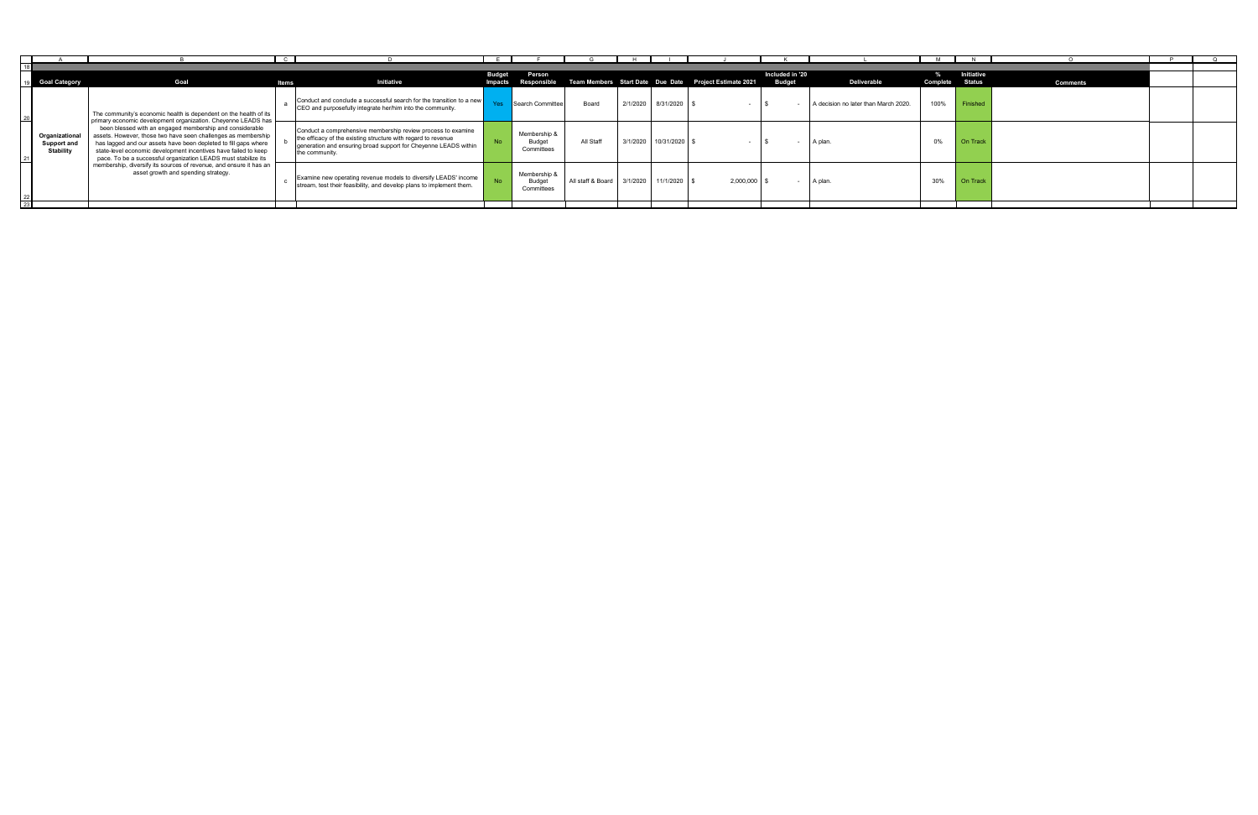|                                                   |                                                                                                                                                                                                                                                                                                                                                                                                    | $\mathbf{C}$ |                                                                                                                                                                                                                    |               |                                             |                            |          |                        |                                                                            |                 |                                      |          |                 |                 |  |
|---------------------------------------------------|----------------------------------------------------------------------------------------------------------------------------------------------------------------------------------------------------------------------------------------------------------------------------------------------------------------------------------------------------------------------------------------------------|--------------|--------------------------------------------------------------------------------------------------------------------------------------------------------------------------------------------------------------------|---------------|---------------------------------------------|----------------------------|----------|------------------------|----------------------------------------------------------------------------|-----------------|--------------------------------------|----------|-----------------|-----------------|--|
|                                                   |                                                                                                                                                                                                                                                                                                                                                                                                    |              |                                                                                                                                                                                                                    |               |                                             |                            |          |                        |                                                                            |                 |                                      |          |                 |                 |  |
|                                                   |                                                                                                                                                                                                                                                                                                                                                                                                    |              |                                                                                                                                                                                                                    | <b>Budget</b> | Person                                      |                            |          |                        |                                                                            | Included in '20 |                                      |          | Initiative      |                 |  |
| <b>Goal Category</b>                              | Goal                                                                                                                                                                                                                                                                                                                                                                                               | ltems        | Initiative                                                                                                                                                                                                         |               |                                             |                            |          |                        | Impacts Responsible Team Members Start Date Due Date Project Estimate 2021 | <b>Budget</b>   | Deliverable                          | Complete | <b>Status</b>   | <b>Comments</b> |  |
|                                                   | The community's economic health is dependent on the health of its                                                                                                                                                                                                                                                                                                                                  |              | Conduct and conclude a successful search for the transition to a new<br>CEO and purposefully integrate her/him into the community.                                                                                 |               | Search Committee                            | Board                      | 2/1/2020 | 8/31/2020 \$           |                                                                            |                 | A decision no later than March 2020. | 100%     | Finished        |                 |  |
| Organizational<br>Support and<br><b>Stability</b> | primary economic development organization. Cheyenne LEADS has<br>been blessed with an engaged membership and considerable<br>assets. However, those two have seen challenges as membership<br>has lagged and our assets have been depleted to fill gaps where<br>state-level economic development incentives have failed to keep<br>pace. To be a successful organization LEADS must stabilize its |              | Conduct a comprehensive membership review process to examine<br>the efficacy of the existing structure with regard to revenue<br>generation and ensuring broad support for Cheyenne LEADS within<br>the community. |               | Membership &<br><b>Budget</b><br>Committees | All Staff                  |          | 3/1/2020 10/31/2020 \$ |                                                                            |                 | A plan.                              | 0%       | <b>On Track</b> |                 |  |
|                                                   | membership, diversify its sources of revenue, and ensure it has an<br>asset growth and spending strategy.                                                                                                                                                                                                                                                                                          |              | Examine new operating revenue models to diversify LEADS' income<br>stream, test their feasibility, and develop plans to implement them.                                                                            |               | Membership &<br><b>Budget</b><br>Committees | All staff & Board 3/1/2020 |          | 11/1/2020 \$           | 2,000,000                                                                  |                 | A plan.                              | 30%      | On Track        |                 |  |
|                                                   |                                                                                                                                                                                                                                                                                                                                                                                                    |              |                                                                                                                                                                                                                    |               |                                             |                            |          |                        |                                                                            |                 |                                      |          |                 |                 |  |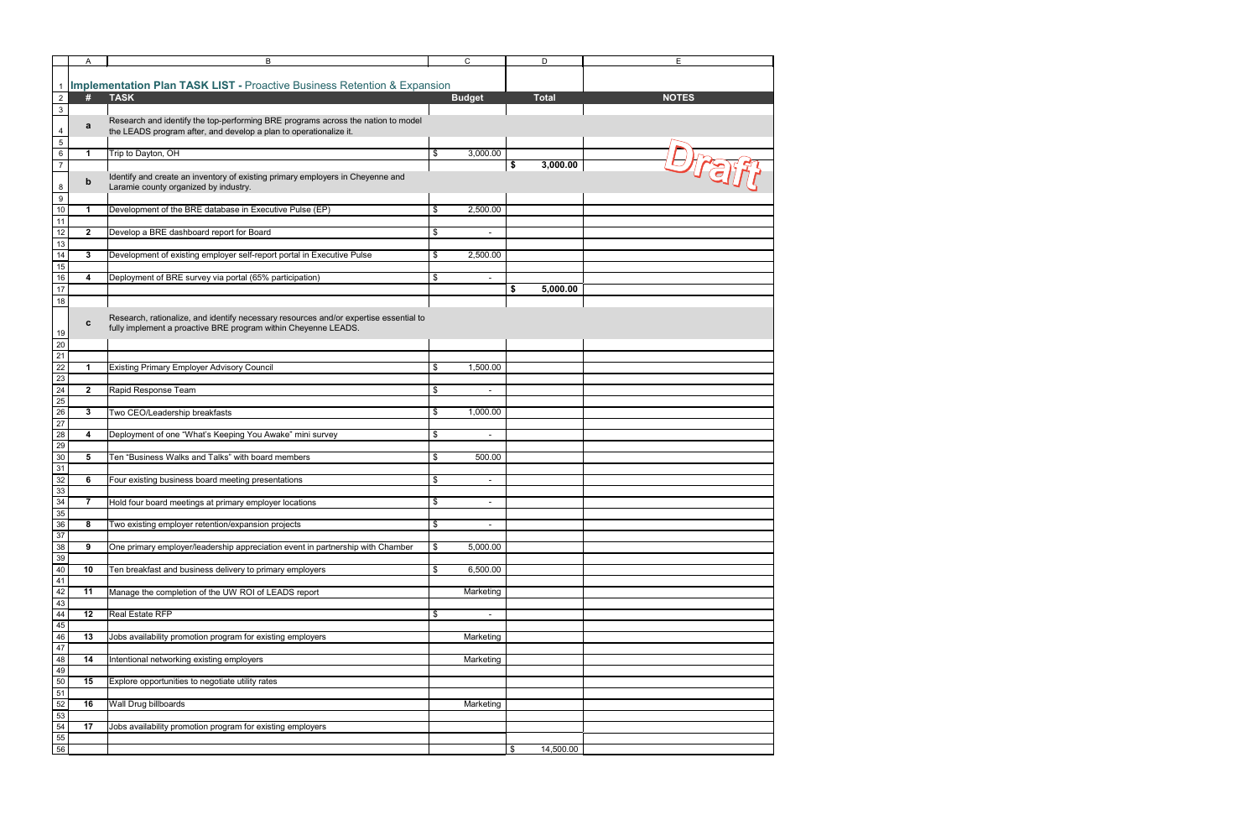|                                 | Α                    | B                                                                                     | C                              | D               | E            |
|---------------------------------|----------------------|---------------------------------------------------------------------------------------|--------------------------------|-----------------|--------------|
|                                 |                      |                                                                                       |                                |                 |              |
|                                 |                      | <b>Implementation Plan TASK LIST - Proactive Business Retention &amp; Expansion</b>   |                                |                 |              |
| $\overline{2}$                  | #                    | <b>TASK</b>                                                                           | <b>Budget</b>                  | <b>Total</b>    | <b>NOTES</b> |
|                                 |                      |                                                                                       |                                |                 |              |
| $\mathbf{3}$                    |                      |                                                                                       |                                |                 |              |
| $\overline{\mathbf{4}}$         | $\mathbf a$          | Research and identify the top-performing BRE programs across the nation to model      |                                |                 |              |
|                                 |                      | the LEADS program after, and develop a plan to operationalize it.                     |                                |                 |              |
| $\overline{5}$                  |                      |                                                                                       |                                |                 |              |
| $\sqrt{6}$                      | $\mathbf{1}$         | Trip to Dayton, OH                                                                    | \$<br>3,000.00                 |                 | Drai:        |
| $\overline{7}$                  |                      |                                                                                       |                                | 3,000.00<br>\$  |              |
|                                 | $\mathbf b$          | Identify and create an inventory of existing primary employers in Cheyenne and        |                                |                 |              |
| $\bf 8$                         |                      | Laramie county organized by industry.                                                 |                                |                 |              |
| $\boldsymbol{9}$                |                      |                                                                                       |                                |                 |              |
| 10                              | $\mathbf{1}$         | Development of the BRE database in Executive Pulse (EP)                               | \$<br>2,500.00                 |                 |              |
| 11                              |                      |                                                                                       |                                |                 |              |
| $\overline{12}$                 | $\overline{2}$       | Develop a BRE dashboard report for Board                                              | \$<br>$\blacksquare$           |                 |              |
| 13                              |                      |                                                                                       |                                |                 |              |
| 14                              | $\mathbf{3}$         | Development of existing employer self-report portal in Executive Pulse                | \$<br>2,500.00                 |                 |              |
| 15                              |                      |                                                                                       |                                |                 |              |
|                                 |                      |                                                                                       |                                |                 |              |
| 16                              | 4                    | Deployment of BRE survey via portal (65% participation)                               | \$<br>$\blacksquare$           |                 |              |
| 17                              |                      |                                                                                       |                                | 5,000.00<br>\$  |              |
| 18                              |                      |                                                                                       |                                |                 |              |
|                                 |                      | Research, rationalize, and identify necessary resources and/or expertise essential to |                                |                 |              |
|                                 | C                    | fully implement a proactive BRE program within Cheyenne LEADS.                        |                                |                 |              |
| 19                              |                      |                                                                                       |                                |                 |              |
| 20                              |                      |                                                                                       |                                |                 |              |
| 21                              |                      |                                                                                       |                                |                 |              |
| 22                              | $\blacktriangleleft$ | <b>Existing Primary Employer Advisory Council</b>                                     | \$<br>1,500.00                 |                 |              |
| 23                              |                      |                                                                                       |                                |                 |              |
| 24                              | $\overline{2}$       | Rapid Response Team                                                                   | \$<br>$\overline{a}$           |                 |              |
| 25                              |                      |                                                                                       |                                |                 |              |
| $\overline{26}$                 | $\mathbf{3}$         | Two CEO/Leadership breakfasts                                                         | \$<br>1,000.00                 |                 |              |
| 27                              |                      |                                                                                       |                                |                 |              |
|                                 |                      |                                                                                       |                                |                 |              |
| 28                              | 4                    | Deployment of one "What's Keeping You Awake" mini survey                              | \$<br>$\overline{\phantom{m}}$ |                 |              |
| 29                              |                      |                                                                                       |                                |                 |              |
| 30                              | 5                    | Ten "Business Walks and Talks" with board members                                     | \$<br>500.00                   |                 |              |
| 31                              |                      |                                                                                       |                                |                 |              |
| 32                              | 6                    | Four existing business board meeting presentations                                    | \$<br>$\blacksquare$           |                 |              |
| 33                              |                      |                                                                                       |                                |                 |              |
| 34                              | $\overline{7}$       | Hold four board meetings at primary employer locations                                | \$<br>$\overline{\phantom{a}}$ |                 |              |
| 35                              |                      |                                                                                       |                                |                 |              |
| 36                              | 8                    | Two existing employer retention/expansion projects                                    | \$<br>$\blacksquare$           |                 |              |
| 37                              |                      |                                                                                       |                                |                 |              |
|                                 | 9                    | One primary employer/leadership appreciation event in partnership with Chamber        | \$<br>5,000.00                 |                 |              |
| $\frac{38}{39}$                 |                      |                                                                                       |                                |                 |              |
| $40\,$                          | 10                   | Ten breakfast and business delivery to primary employers                              | \$<br>6,500.00                 |                 |              |
| 41                              |                      |                                                                                       |                                |                 |              |
| 42                              |                      | Manage the completion of the UW ROI of LEADS report                                   |                                |                 |              |
| 43                              | 11                   |                                                                                       | Marketing                      |                 |              |
|                                 |                      |                                                                                       |                                |                 |              |
| $\frac{44}{45}$ $\frac{46}{47}$ | 12                   | Real Estate RFP                                                                       | \$<br>$\blacksquare$           |                 |              |
|                                 |                      |                                                                                       |                                |                 |              |
|                                 | 13                   | Jobs availability promotion program for existing employers                            | Marketing                      |                 |              |
|                                 |                      |                                                                                       |                                |                 |              |
| 48                              | 14                   | Intentional networking existing employers                                             | Marketing                      |                 |              |
| 49                              |                      |                                                                                       |                                |                 |              |
| 50                              | 15                   | Explore opportunities to negotiate utility rates                                      |                                |                 |              |
| 51                              |                      |                                                                                       |                                |                 |              |
| 52                              | 16                   | Wall Drug billboards                                                                  | Marketing                      |                 |              |
| 53                              |                      |                                                                                       |                                |                 |              |
| 54                              | 17                   | Jobs availability promotion program for existing employers                            |                                |                 |              |
|                                 |                      |                                                                                       |                                |                 |              |
| $\frac{55}{56}$                 |                      |                                                                                       |                                | 14,500.00<br>\$ |              |
|                                 |                      |                                                                                       |                                |                 |              |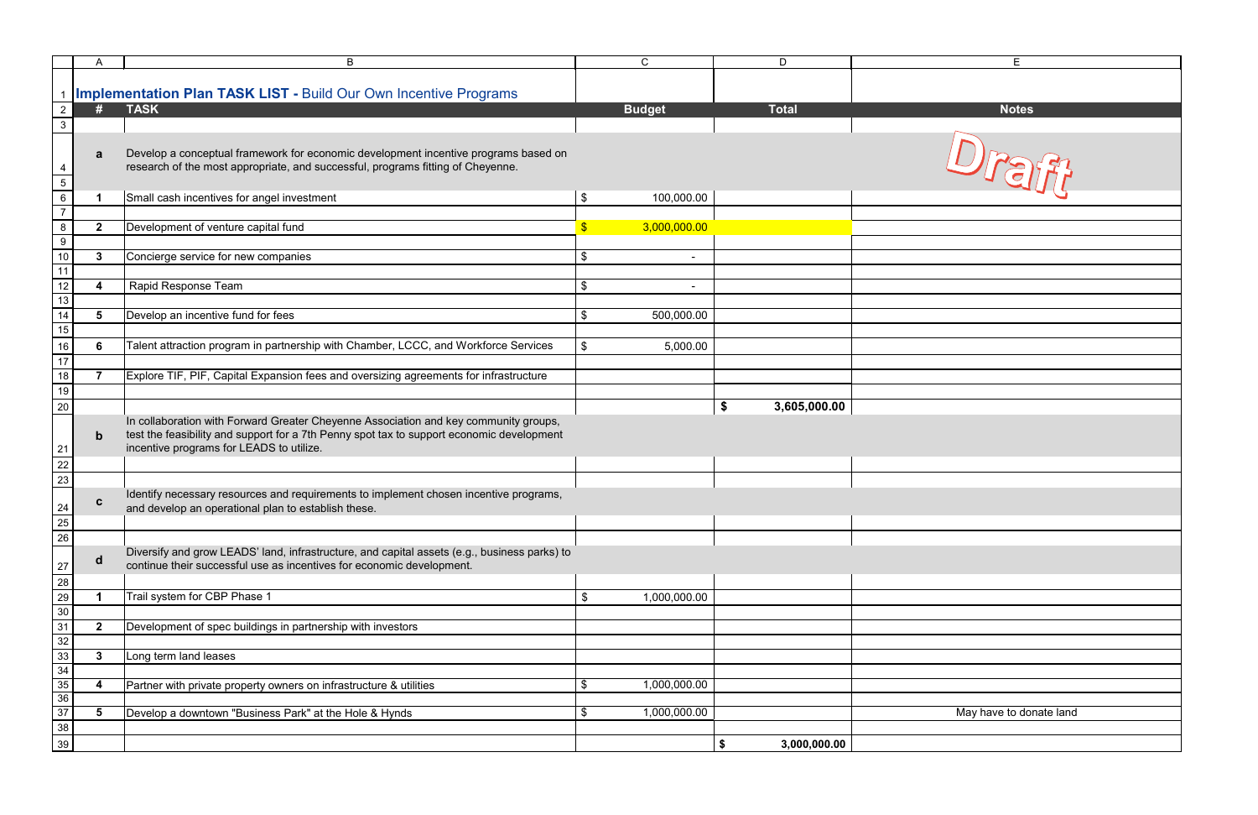|                 | A                    | B                                                                                            |               | $\mathsf{C}$  | D                  | E.                      |
|-----------------|----------------------|----------------------------------------------------------------------------------------------|---------------|---------------|--------------------|-------------------------|
|                 |                      |                                                                                              |               |               |                    |                         |
|                 |                      | <b>Implementation Plan TASK LIST - Build Our Own Incentive Programs</b>                      |               |               |                    |                         |
| $2^{\circ}$     | #                    | <b>TASK</b>                                                                                  |               | <b>Budget</b> | <b>Total</b>       | <b>Notes</b>            |
| $\mathbf{3}$    |                      |                                                                                              |               |               |                    |                         |
|                 |                      |                                                                                              |               |               |                    |                         |
|                 |                      | Develop a conceptual framework for economic development incentive programs based on          |               |               |                    |                         |
|                 | a                    |                                                                                              |               |               |                    |                         |
| 4               |                      | research of the most appropriate, and successful, programs fitting of Cheyenne.              |               |               |                    |                         |
| 5 <sup>1</sup>  |                      |                                                                                              |               |               |                    | Urain                   |
| $6\overline{6}$ | $\blacktriangleleft$ | Small cash incentives for angel investment                                                   | \$            | 100,000.00    |                    |                         |
| $\overline{7}$  |                      |                                                                                              |               |               |                    |                         |
| 8               | $\mathbf{2}$         | Development of venture capital fund                                                          | $\mathsf{\$}$ | 3,000,000.00  |                    |                         |
| 9               |                      |                                                                                              |               |               |                    |                         |
| 10              | $\mathbf{3}$         | Concierge service for new companies                                                          | \$            |               |                    |                         |
| 11              |                      |                                                                                              |               |               |                    |                         |
| $\overline{12}$ |                      | Rapid Response Team                                                                          | \$            |               |                    |                         |
|                 | 4                    |                                                                                              |               |               |                    |                         |
| 13              |                      |                                                                                              |               |               |                    |                         |
| 14              | $5\phantom{1}$       | Develop an incentive fund for fees                                                           | \$            | 500,000.00    |                    |                         |
| 15              |                      |                                                                                              |               |               |                    |                         |
| $16\,$          | 6                    | Talent attraction program in partnership with Chamber, LCCC, and Workforce Services          | \$            | 5,000.00      |                    |                         |
| 17              |                      |                                                                                              |               |               |                    |                         |
| 18              | $\overline{7}$       | Explore TIF, PIF, Capital Expansion fees and oversizing agreements for infrastructure        |               |               |                    |                         |
| 19              |                      |                                                                                              |               |               |                    |                         |
|                 |                      |                                                                                              |               |               |                    |                         |
| $20\,$          |                      |                                                                                              |               |               | \$<br>3,605,000.00 |                         |
|                 |                      | In collaboration with Forward Greater Cheyenne Association and key community groups,         |               |               |                    |                         |
|                 | $\mathbf b$          | test the feasibility and support for a 7th Penny spot tax to support economic development    |               |               |                    |                         |
| 21              |                      | incentive programs for LEADS to utilize.                                                     |               |               |                    |                         |
| $\overline{22}$ |                      |                                                                                              |               |               |                    |                         |
| 23              |                      |                                                                                              |               |               |                    |                         |
|                 |                      | Identify necessary resources and requirements to implement chosen incentive programs,        |               |               |                    |                         |
| 24              | $\mathbf c$          | and develop an operational plan to establish these.                                          |               |               |                    |                         |
| 25              |                      |                                                                                              |               |               |                    |                         |
| 26              |                      |                                                                                              |               |               |                    |                         |
|                 |                      |                                                                                              |               |               |                    |                         |
|                 | $\mathbf d$          | Diversify and grow LEADS' land, infrastructure, and capital assets (e.g., business parks) to |               |               |                    |                         |
| 27              |                      | continue their successful use as incentives for economic development.                        |               |               |                    |                         |
| 28              |                      |                                                                                              |               |               |                    |                         |
| 29              |                      | Trail system for CBP Phase 1                                                                 | \$            | 1,000,000.00  |                    |                         |
| 30              |                      |                                                                                              |               |               |                    |                         |
| 31              | $\overline{2}$       | Development of spec buildings in partnership with investors                                  |               |               |                    |                         |
| 32              |                      |                                                                                              |               |               |                    |                         |
| 33              | $\mathbf{3}$         | Long term land leases                                                                        |               |               |                    |                         |
| 34              |                      |                                                                                              |               |               |                    |                         |
| 35              | $\boldsymbol{4}$     | Partner with private property owners on infrastructure & utilities                           | \$            | 1,000,000.00  |                    |                         |
| 36              |                      |                                                                                              |               |               |                    |                         |
| 37              |                      |                                                                                              |               |               |                    |                         |
|                 | 5                    | Develop a downtown "Business Park" at the Hole & Hynds                                       | \$            | 1,000,000.00  |                    | May have to donate land |
| 38              |                      |                                                                                              |               |               |                    |                         |
| $39\,$          |                      |                                                                                              |               |               | \$<br>3,000,000.00 |                         |

| Ε                       |
|-------------------------|
|                         |
|                         |
| <b>Notes</b>            |
|                         |
|                         |
|                         |
| Draft                   |
|                         |
|                         |
|                         |
|                         |
|                         |
|                         |
|                         |
|                         |
|                         |
|                         |
|                         |
|                         |
|                         |
|                         |
|                         |
|                         |
|                         |
|                         |
|                         |
|                         |
|                         |
|                         |
|                         |
|                         |
|                         |
|                         |
|                         |
|                         |
|                         |
|                         |
|                         |
|                         |
|                         |
|                         |
| May have to donate land |
|                         |
|                         |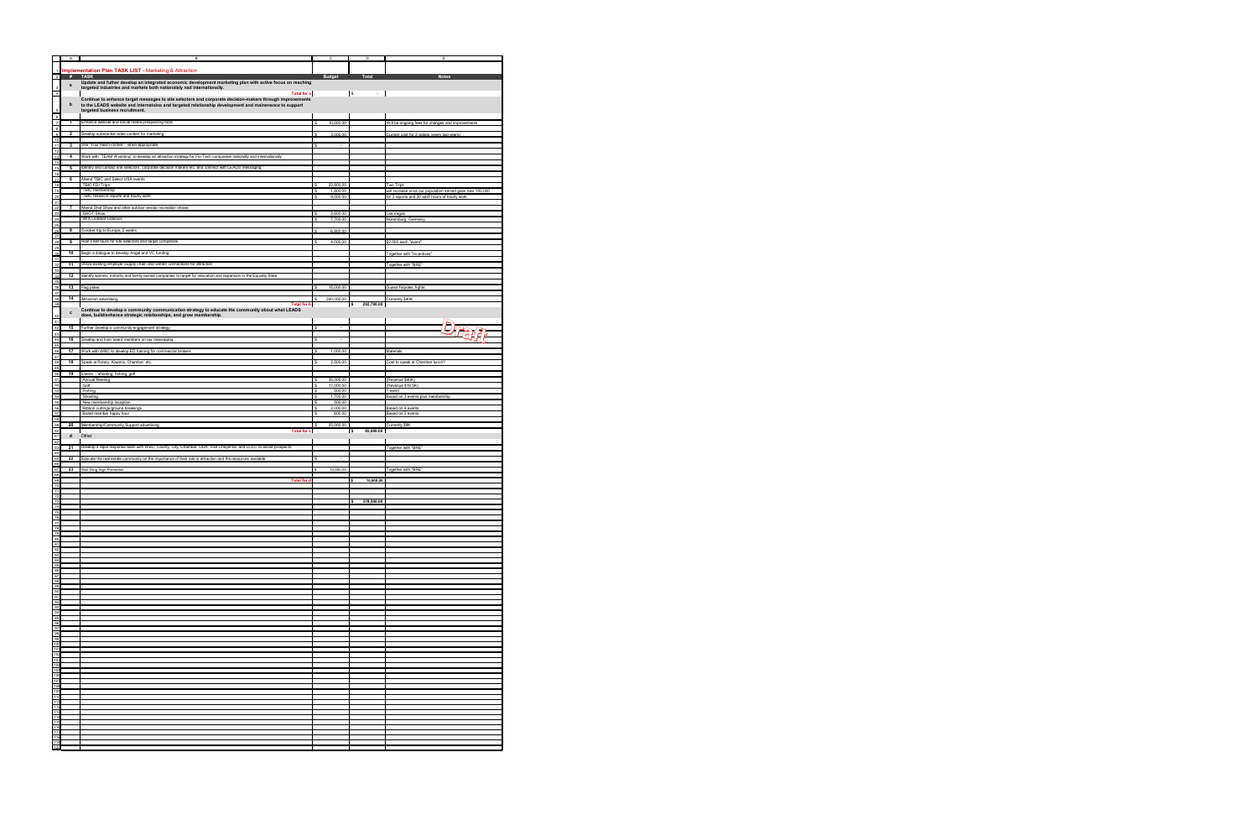|                                                                 | A                       | в                                                                                                                              |        | c                        | D              |                                                                                                               |
|-----------------------------------------------------------------|-------------------------|--------------------------------------------------------------------------------------------------------------------------------|--------|--------------------------|----------------|---------------------------------------------------------------------------------------------------------------|
|                                                                 |                         | <b>Implementation Plan TASK LIST - Marketing &amp; Attraction</b>                                                              |        |                          |                |                                                                                                               |
| $\overline{2}$                                                  | #                       | <b>TASK</b><br>Update and futher develop an integrated economic development marketing plan with active focus on reaching       |        | <b>Budget</b>            | Total          | <b>Notes</b>                                                                                                  |
|                                                                 | $\mathbf a$             | targeted industries and markets both nationalaly nad internationally.                                                          |        |                          |                |                                                                                                               |
| $\overline{4}$                                                  |                         | <b>Total for a</b><br>Continue to enhance target messages to site selectors and corporate decision-makers through improvements |        |                          | l\$<br>÷       |                                                                                                               |
|                                                                 | b                       | to the LEADS website and internatoina and targeted relationship development and mainenance to support                          |        |                          |                |                                                                                                               |
|                                                                 |                         | targeted business recruitment.                                                                                                 |        |                          |                |                                                                                                               |
| 6 7 8 9 10 11 12 13 14 15 16 17 18                              | $\mathbf{1}$            | Enhance website and social media prospecting tools                                                                             |        | 10,000.00                |                | Will be ongoing fees for changes and improvements                                                             |
|                                                                 | $\overline{2}$          | Develop substantial video content for marketing                                                                                |        | 3,000.00                 |                | Current cost for 3 videos (every two years)                                                                   |
|                                                                 |                         | Use "Your Next Frontier," when appropriate                                                                                     |        |                          |                |                                                                                                               |
|                                                                 | $\overline{\mathbf{3}}$ |                                                                                                                                | s      | $\overline{a}$           |                |                                                                                                               |
|                                                                 | 4                       | Work with "TEAM Wyoming" to develop an attraction strategy for Fin-Tech companies nationally and internationally               |        |                          |                |                                                                                                               |
|                                                                 | 5                       | Identify and contact site selectors, corporate decision makers etc. and connect with LEADS messaging                           |        |                          |                |                                                                                                               |
|                                                                 | 6                       | Attend TBIC and Select USA events                                                                                              |        |                          |                |                                                                                                               |
|                                                                 |                         | <b>TBIC FDI Trips</b>                                                                                                          |        | 22,800.00                |                | Two Trips                                                                                                     |
| $\frac{19}{20}$                                                 |                         | TBIC membership<br>TBIC research reports and hourly work                                                                       | s<br>s | 1,800.00<br>9,000.00     |                | will increase once our population served goes over 100,000<br>for 3 reports and 20 add'l hours of hourly work |
|                                                                 |                         |                                                                                                                                |        |                          |                |                                                                                                               |
|                                                                 | $\overline{7}$          | Attend Shot Show and other outdoor vendor recreation shows<br>SHOT Show                                                        | s      | 2,600.00                 |                | Las Vegas                                                                                                     |
| 22<br>23<br>24<br>25<br>26<br>27<br>28                          |                         | <b>IWA Outdoor Classics</b>                                                                                                    | s      | 7,700.00                 |                | Nuremburg, Germany                                                                                            |
|                                                                 | 8                       | October trip to Europe, 2 weeks                                                                                                |        | 6,800.00                 |                |                                                                                                               |
|                                                                 | 9                       | Host FAM tours for site selectors and target companies                                                                         |        | 4,000.00                 |                | \$2,000 each "event"                                                                                          |
|                                                                 |                         |                                                                                                                                |        |                          |                |                                                                                                               |
|                                                                 |                         | 10 Begin a dialogue to develop Angel and VC funding                                                                            |        |                          |                | Together with "Incentives"                                                                                    |
|                                                                 | 11                      | Utilize existing employer supply chain and vendor connections for attraction                                                   |        |                          |                | Together with "BRE                                                                                            |
|                                                                 | 12                      | Identify women, minority and family owned companies to target for relocation and expansion in the Equality State               |        |                          |                |                                                                                                               |
|                                                                 |                         |                                                                                                                                |        |                          |                |                                                                                                               |
|                                                                 | 13                      | Flag poles                                                                                                                     | s      | 15,000.00                |                | Guess forpoles, lights                                                                                        |
|                                                                 | 14                      | Attraction advertising<br><b>Total for b</b>                                                                                   |        | 200,000.00               | 282,700.00     | Currently \$40K                                                                                               |
|                                                                 | $\mathbf c$             | Continue to develop a community communication strategy to educate the community about what LEADS                               |        |                          | s              |                                                                                                               |
| 40<br>41                                                        |                         | does, build/enhance strategic relationships, and grow membership.                                                              |        |                          |                |                                                                                                               |
| 42                                                              | 15                      | Further develop a community engagement strategy                                                                                | \$     | $\overline{\phantom{a}}$ |                | Drain                                                                                                         |
| 43<br>44                                                        | 16                      | Develop and train board members on our messaging                                                                               | s      |                          |                |                                                                                                               |
|                                                                 |                         |                                                                                                                                |        | $\overline{\phantom{a}}$ |                |                                                                                                               |
| 45<br>46<br>47                                                  | 17                      | Work with WBC to develop ED training for commercial brokers                                                                    | s      | 1,000.00                 |                | Materials                                                                                                     |
| 48                                                              | 18                      | Speak at Rotary, Kiwanis, Chamber, etc.                                                                                        | Ś      | 2,500.00                 |                | Cost to speak at Chamber lunch?                                                                               |
| 49<br>50                                                        | 19                      | Events - shooting, fishing, golf                                                                                               |        |                          |                |                                                                                                               |
| 51                                                              |                         | <b>Annual Meeting</b>                                                                                                          | s      | 35,000.00                |                | (Revenue \$40K)                                                                                               |
|                                                                 |                         | Golf<br>Fishing                                                                                                                | s<br>s | 17,000.00<br>500.00      |                | (Revenue \$19.5K)<br>1 event                                                                                  |
|                                                                 |                         | Shooting                                                                                                                       | s      | 1,700.00                 |                | Based on 3 events plus membership                                                                             |
| 52<br>53<br>53<br>55<br>56<br>57<br>58<br>50<br>60              |                         | New membership reception<br>Ribbon cuttings/ground breakings                                                                   | s      | 500.00<br>2,000.00       |                | Based on 4 events                                                                                             |
|                                                                 |                         | Board member happy hour                                                                                                        | s      | 600.00                   |                | Based on 2 events                                                                                             |
|                                                                 | 20                      | Membership/Community Support advertising                                                                                       | s      | 25,000.00                |                | Currently \$9K                                                                                                |
| 61                                                              | d                       | <b>Total for c</b><br>Other                                                                                                    |        |                          | 85,800.00<br>s |                                                                                                               |
|                                                                 |                         |                                                                                                                                |        |                          |                |                                                                                                               |
| $\begin{array}{r} 62 \\ 63 \\ 64 \\ 65 \end{array}$             |                         |                                                                                                                                |        |                          |                |                                                                                                               |
|                                                                 |                         | 21 Develop a rapid response team with WBC, County, City, Chamber, DDA, Visit Cheyenne, and LCCC to assist prospects            |        |                          |                | Together with "BRE"                                                                                           |
|                                                                 | $\overline{22}$         | Educate the real estate community on the importance of their role in attraction and the resources available                    | s      |                          |                |                                                                                                               |
|                                                                 |                         | 23 Wall Drug Sign Promotion                                                                                                    | \$     | 10,000.00                |                | Together with "BRE"                                                                                           |
|                                                                 |                         |                                                                                                                                |        |                          |                |                                                                                                               |
|                                                                 |                         | <b>Total for d</b>                                                                                                             |        |                          | 10,000.00      |                                                                                                               |
|                                                                 |                         |                                                                                                                                |        |                          |                |                                                                                                               |
|                                                                 |                         |                                                                                                                                |        |                          | 378,500.00     |                                                                                                               |
|                                                                 |                         |                                                                                                                                |        |                          |                |                                                                                                               |
|                                                                 |                         |                                                                                                                                |        |                          |                |                                                                                                               |
|                                                                 |                         |                                                                                                                                |        |                          |                |                                                                                                               |
|                                                                 |                         |                                                                                                                                |        |                          |                |                                                                                                               |
|                                                                 |                         |                                                                                                                                |        |                          |                |                                                                                                               |
|                                                                 |                         |                                                                                                                                |        |                          |                |                                                                                                               |
|                                                                 |                         |                                                                                                                                |        |                          |                |                                                                                                               |
|                                                                 |                         |                                                                                                                                |        |                          |                |                                                                                                               |
|                                                                 |                         |                                                                                                                                |        |                          |                |                                                                                                               |
|                                                                 |                         |                                                                                                                                |        |                          |                |                                                                                                               |
|                                                                 |                         |                                                                                                                                |        |                          |                |                                                                                                               |
|                                                                 |                         |                                                                                                                                |        |                          |                |                                                                                                               |
|                                                                 |                         |                                                                                                                                |        |                          |                |                                                                                                               |
|                                                                 |                         |                                                                                                                                |        |                          |                |                                                                                                               |
|                                                                 |                         |                                                                                                                                |        |                          |                |                                                                                                               |
|                                                                 |                         |                                                                                                                                |        |                          |                |                                                                                                               |
|                                                                 |                         |                                                                                                                                |        |                          |                |                                                                                                               |
| 66<br>67<br>68<br>69<br>70<br>71<br>72<br>73<br>$\frac{74}{75}$ |                         |                                                                                                                                |        |                          |                |                                                                                                               |
|                                                                 |                         |                                                                                                                                |        |                          |                |                                                                                                               |
|                                                                 |                         |                                                                                                                                |        |                          |                |                                                                                                               |
|                                                                 |                         |                                                                                                                                |        |                          |                |                                                                                                               |
|                                                                 |                         |                                                                                                                                |        |                          |                |                                                                                                               |
|                                                                 |                         |                                                                                                                                |        |                          |                |                                                                                                               |
|                                                                 |                         |                                                                                                                                |        |                          |                |                                                                                                               |
|                                                                 |                         |                                                                                                                                |        |                          |                |                                                                                                               |
|                                                                 |                         |                                                                                                                                |        |                          |                |                                                                                                               |
| 120                                                             |                         |                                                                                                                                |        |                          |                |                                                                                                               |